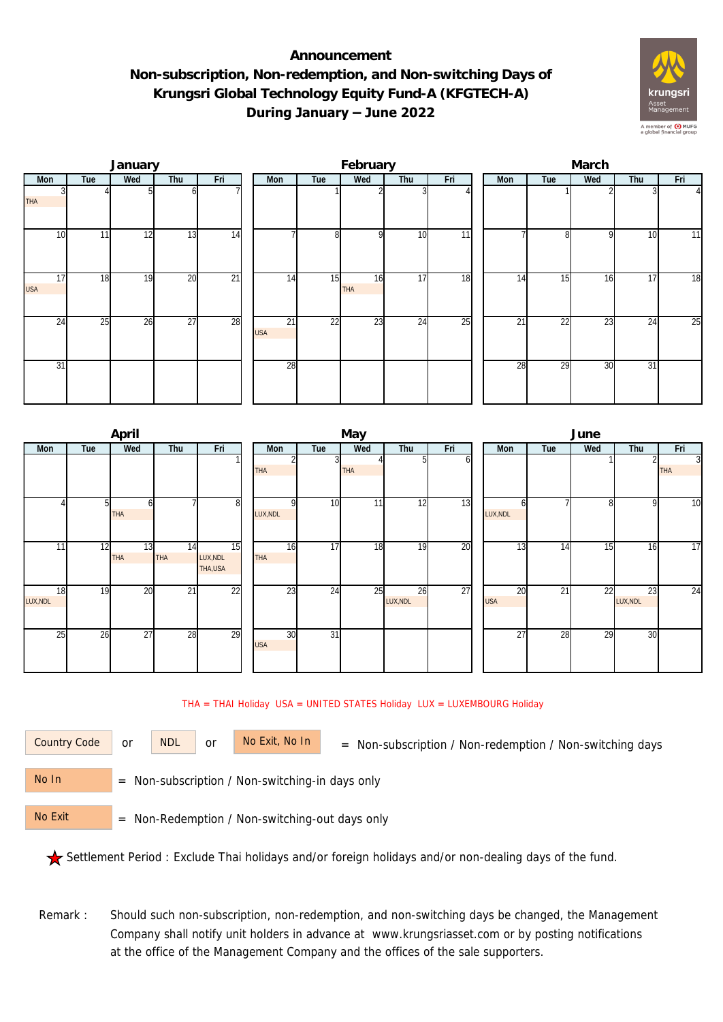## **Announcement Non-subscription, Non-redemption, and Non-switching Days of Krungsri Global Technology Equity Fund-A (KFGTECH-A) During January – June 2022**



|                  |     | January |                 |                 |                  |                 | February  |                 |                 | March |                 |     |     |                |  |  |
|------------------|-----|---------|-----------------|-----------------|------------------|-----------------|-----------|-----------------|-----------------|-------|-----------------|-----|-----|----------------|--|--|
| Mon              | Tue | Wed     | Thu             | Fri             | Mon              | Tue             | Wed       | Thu             | Fri             | Mon   | Tue             | Wed | Thu | Fri            |  |  |
| <b>THA</b>       |     |         | ωI              |                 |                  |                 |           |                 |                 |       |                 |     |     | $\overline{4}$ |  |  |
| 10               | 11  | 12      | 13              | 14              |                  | 8               | οI        | 10              | $\overline{11}$ |       | 81              | 9   | 10  | 11             |  |  |
| 17<br><b>USA</b> | 18  | 19      | 20              | $\overline{21}$ | 14               | 15              | 16<br>THA | 17              | 18              | 14    | 15              | 16  | 17  | 18             |  |  |
| $2\overline{4}$  | 25  | 26      | $\overline{27}$ | 28              | 21<br><b>USA</b> | $\overline{22}$ | 23        | $2\overline{4}$ | $\overline{25}$ | 21    | $2\overline{2}$ | 23  | 24  | 25             |  |  |
| 31               |     |         |                 |                 | 28               |                 |           |                 |                 | 28    | 29              | 30  | 31  |                |  |  |

|                |     | April            |           |                           |                  |                 | May        |                |     | June             |     |     |                |                 |  |  |
|----------------|-----|------------------|-----------|---------------------------|------------------|-----------------|------------|----------------|-----|------------------|-----|-----|----------------|-----------------|--|--|
| Mon            | Tue | Wed              | Thu       | Fri                       | Mon              | Tue             | Wed        | Thu            | Fri | Mon              | Tue | Wed | Thu            | Fri             |  |  |
|                |     |                  |           |                           | THA              |                 | <b>THA</b> | 51             | οı  |                  |     |     |                | 3<br><b>THA</b> |  |  |
|                | 51  | h<br>THA         |           | 8                         | LUX, NDL         | 10              | 11         | 12             | 13  | h<br>LUX, NDL    |     | 8   | 9              | $\overline{10}$ |  |  |
| 11             | 12  | 13<br><b>THA</b> | 14<br>THA | 15<br>LUX, NDL<br>THA,USA | 16<br>THA        | $\overline{17}$ | 18         | 19             | 20  | 13               | 14  | 15  | 16             | $\overline{17}$ |  |  |
| 18<br>LUX, NDL | 19  | 20               | 21        | 22                        | 23               | 24              | 25         | 26<br>LUX, NDL | 27  | 20<br><b>USA</b> | 21  | 22  | 23<br>LUX, NDL | 24              |  |  |
| 25             | 26  | 27               | 28        | 29                        | 30<br><b>USA</b> | $\overline{31}$ |            |                |     | 27               | 28  | 29  | 30             |                 |  |  |

## THA = THAI Holiday USA = UNITED STATES Holiday LUX = LUXEMBOURG Holiday

or NDL or

Country Code or NDL or No Exit, No In = Non-subscription / Non-redemption / Non-switching days

 = Non-subscription / Non-switching-in days only No In

 = Non-Redemption / Non-switching-out days only No Exit

Settlement Period : Exclude Thai holidays and/or foreign holidays and/or non-dealing days of the fund.

Remark : Should such non-subscription, non-redemption, and non-switching days be changed, the Management Company shall notify unit holders in advance at www.krungsriasset.com or by posting notifications at the office of the Management Company and the offices of the sale supporters.